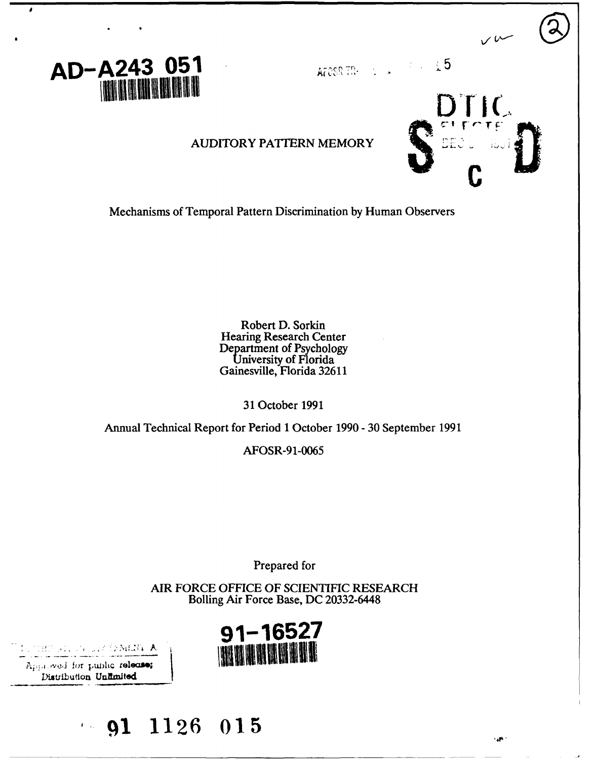

AFOSR TREes a set of the  $\pm 5$ 

 $\bigcup$ 

 $\mathbf{A}$ 

### **AUDITORY PATTERN MEMORY**

Mechanisms of Temporal Pattern Discrimination by Human Observers

Robert D. Sorkin **Hearing Research Center** Department of Psychology University of Florida<br>Gainesville, Florida 32611

31 October 1991

Annual Technical Report for Period 1 October 1990 - 30 September 1991

AFOSR-91-0065

Prepared for

AIR FORCE OFFICE OF SCIENTIFIC RESEARCH Bolling Air Force Base, DC 20332-6448



d ji, ji diztemen **a** 

Approved for public release; Distribution Unlimited

## $-91$  1126 015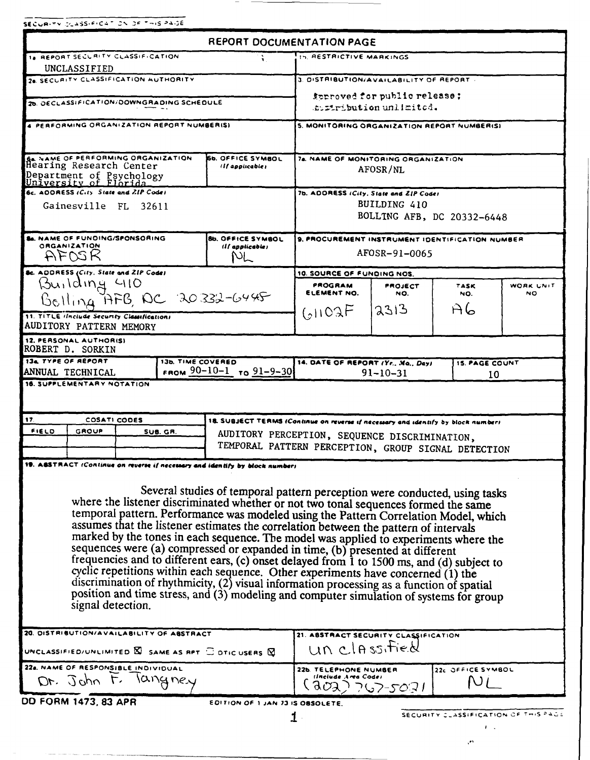SECURITY CLASSIFICATION OF THIS PAIDE

للمستدعين

|                                                                                                                                                                                                                                                                                                                                                                                                                                                                                                                                                                                                                                                                                                                                                                                                                                                                                                                                                                                                            | <b>REPORT DOCUMENTATION PAGE</b>            |                                                                                                                                    |          |                                      |           |  |  |
|------------------------------------------------------------------------------------------------------------------------------------------------------------------------------------------------------------------------------------------------------------------------------------------------------------------------------------------------------------------------------------------------------------------------------------------------------------------------------------------------------------------------------------------------------------------------------------------------------------------------------------------------------------------------------------------------------------------------------------------------------------------------------------------------------------------------------------------------------------------------------------------------------------------------------------------------------------------------------------------------------------|---------------------------------------------|------------------------------------------------------------------------------------------------------------------------------------|----------|--------------------------------------|-----------|--|--|
| 1. REPORT SECURITY CLASSIFICATION                                                                                                                                                                                                                                                                                                                                                                                                                                                                                                                                                                                                                                                                                                                                                                                                                                                                                                                                                                          |                                             | <b>15. RESTRICTIVE MARKINGS</b>                                                                                                    |          |                                      |           |  |  |
| UNCLASSIFIED                                                                                                                                                                                                                                                                                                                                                                                                                                                                                                                                                                                                                                                                                                                                                                                                                                                                                                                                                                                               |                                             |                                                                                                                                    |          |                                      |           |  |  |
| 20. SECURITY CLASSIFICATION AUTHORITY                                                                                                                                                                                                                                                                                                                                                                                                                                                                                                                                                                                                                                                                                                                                                                                                                                                                                                                                                                      |                                             | 3. DISTRIBUTION/AVAILABILITY OF REPORT.                                                                                            |          |                                      |           |  |  |
| 20. DECLASSIFICATION/DOWNGRADING SCHEDULE                                                                                                                                                                                                                                                                                                                                                                                                                                                                                                                                                                                                                                                                                                                                                                                                                                                                                                                                                                  |                                             | suproved for public release;<br>sum tribution unlimited.                                                                           |          |                                      |           |  |  |
|                                                                                                                                                                                                                                                                                                                                                                                                                                                                                                                                                                                                                                                                                                                                                                                                                                                                                                                                                                                                            |                                             |                                                                                                                                    |          |                                      |           |  |  |
| 4 PERFORMING ORGANIZATION REPORT NUMBERISI                                                                                                                                                                                                                                                                                                                                                                                                                                                                                                                                                                                                                                                                                                                                                                                                                                                                                                                                                                 |                                             | 5. MONITORING ORGANIZATION REPORT NUMBERISI                                                                                        |          |                                      |           |  |  |
| <b>SA NAME OF PERFORMING ORGANIZATION</b><br>Hearing Research Center<br>Department of Psychology<br>University of Florida                                                                                                                                                                                                                                                                                                                                                                                                                                                                                                                                                                                                                                                                                                                                                                                                                                                                                  | <b>66. OFFICE SYMBOL</b><br>(Il applicable) | 76. NAME OF MONITORING ORGANIZATION<br>AFOSR/NL                                                                                    |          |                                      |           |  |  |
| 6c. ADDRESS (City State and ZIP Code)                                                                                                                                                                                                                                                                                                                                                                                                                                                                                                                                                                                                                                                                                                                                                                                                                                                                                                                                                                      |                                             | 7b. ADDRESS (City, State and ZIP Code)                                                                                             |          |                                      |           |  |  |
| Gainesville FL 32611                                                                                                                                                                                                                                                                                                                                                                                                                                                                                                                                                                                                                                                                                                                                                                                                                                                                                                                                                                                       |                                             | BUILDING 410<br>BOLLING AFB, DC 20332-6448                                                                                         |          |                                      |           |  |  |
| <b>SA. NAME OF FUNDING/SPONSORING</b>                                                                                                                                                                                                                                                                                                                                                                                                                                                                                                                                                                                                                                                                                                                                                                                                                                                                                                                                                                      | <b>8b. OFFICE SYMBOL</b>                    | 9. PROCUREMENT INSTRUMENT IDENTIFICATION NUMBER                                                                                    |          |                                      |           |  |  |
| <b>ORGANIZATION</b><br>AFNSR                                                                                                                                                                                                                                                                                                                                                                                                                                                                                                                                                                                                                                                                                                                                                                                                                                                                                                                                                                               | (If applicable)<br>ML                       | AFOSR-91-0065                                                                                                                      |          |                                      |           |  |  |
| <b>&amp;c.</b> ADDRESS (City, State and ZIP Code)                                                                                                                                                                                                                                                                                                                                                                                                                                                                                                                                                                                                                                                                                                                                                                                                                                                                                                                                                          |                                             | 10. SOURCE OF FUNDING NOS.                                                                                                         |          |                                      |           |  |  |
| Building 410                                                                                                                                                                                                                                                                                                                                                                                                                                                                                                                                                                                                                                                                                                                                                                                                                                                                                                                                                                                               |                                             | PROGRAM                                                                                                                            | PROJECT  | TASK                                 | WORK UNIT |  |  |
| Belling AFB, AC 20332-6445                                                                                                                                                                                                                                                                                                                                                                                                                                                                                                                                                                                                                                                                                                                                                                                                                                                                                                                                                                                 |                                             | ELEMENT NO.                                                                                                                        | NO.      | NO.                                  | NO.       |  |  |
| 11. TITLE ilnclude Security Classifications                                                                                                                                                                                                                                                                                                                                                                                                                                                                                                                                                                                                                                                                                                                                                                                                                                                                                                                                                                |                                             | (51102)                                                                                                                            | 12313    | A6                                   |           |  |  |
| AUDITORY PATTERN MEMORY                                                                                                                                                                                                                                                                                                                                                                                                                                                                                                                                                                                                                                                                                                                                                                                                                                                                                                                                                                                    |                                             |                                                                                                                                    |          |                                      |           |  |  |
| 12. PERSONAL AUTHORISI<br><b>ROBERT D. SORKIN</b>                                                                                                                                                                                                                                                                                                                                                                                                                                                                                                                                                                                                                                                                                                                                                                                                                                                                                                                                                          |                                             |                                                                                                                                    |          |                                      |           |  |  |
| <b>134 TYPE OF REPORT</b><br>13b. TIME COVERED                                                                                                                                                                                                                                                                                                                                                                                                                                                                                                                                                                                                                                                                                                                                                                                                                                                                                                                                                             |                                             | 14. DATE OF REPORT (Yr., Mo., Day)                                                                                                 |          | <b>15. PAGE COUNT</b>                |           |  |  |
| ANNUAL TECHNICAL<br>16. SUPPLEMENTARY NOTATION                                                                                                                                                                                                                                                                                                                                                                                                                                                                                                                                                                                                                                                                                                                                                                                                                                                                                                                                                             | FROM $90-10-1$ To $91-9-30$                 | $91 - 10 - 31$<br>10                                                                                                               |          |                                      |           |  |  |
| 17.<br>COSATI CODES                                                                                                                                                                                                                                                                                                                                                                                                                                                                                                                                                                                                                                                                                                                                                                                                                                                                                                                                                                                        |                                             |                                                                                                                                    |          |                                      |           |  |  |
| FIELD<br>GROUP<br>SUB. GR.                                                                                                                                                                                                                                                                                                                                                                                                                                                                                                                                                                                                                                                                                                                                                                                                                                                                                                                                                                                 |                                             | 18. SUBJECT TERMS (Continue on reverse if necessary and identify by block number)<br>AUDITORY PERCEPTION, SEQUENCE DISCRIMINATION, |          |                                      |           |  |  |
|                                                                                                                                                                                                                                                                                                                                                                                                                                                                                                                                                                                                                                                                                                                                                                                                                                                                                                                                                                                                            |                                             | TEMPORAL PATTERN PERCEPTION, GROUP SIGNAL DETECTION                                                                                |          |                                      |           |  |  |
|                                                                                                                                                                                                                                                                                                                                                                                                                                                                                                                                                                                                                                                                                                                                                                                                                                                                                                                                                                                                            |                                             |                                                                                                                                    |          |                                      |           |  |  |
| 19. ABSTRACT (Continue on reverse if necessary and identify by block number)<br>Several studies of temporal pattern perception were conducted, using tasks<br>where the listener discriminated whether or not two tonal sequences formed the same<br>temporal pattern. Performance was modeled using the Pattern Correlation Model, which<br>assumes that the listener estimates the correlation between the pattern of intervals<br>marked by the tones in each sequence. The model was applied to experiments where the<br>sequences were (a) compressed or expanded in time, (b) presented at different<br>frequencies and to different ears, (c) onset delayed from 1 to 1500 ms, and (d) subject to<br>cyclic repetitions within each sequence. Other experiments have concerned (1) the<br>discrimination of rhythmicity, (2) visual information processing as a function of spatial<br>position and time stress, and (3) modeling and computer simulation of systems for group<br>signal detection. |                                             |                                                                                                                                    |          |                                      |           |  |  |
| 20. DISTRIBUTION/AVAILABILITY OF ABSTRACT                                                                                                                                                                                                                                                                                                                                                                                                                                                                                                                                                                                                                                                                                                                                                                                                                                                                                                                                                                  |                                             | 21. ABSTRACT SECURITY CLASSIFICATION                                                                                               |          |                                      |           |  |  |
| UNCLASSIFIED/UNLIMITED $\boxtimes$ SAME AS RPT $\Box$ DTIC USERS $\boxtimes$                                                                                                                                                                                                                                                                                                                                                                                                                                                                                                                                                                                                                                                                                                                                                                                                                                                                                                                               |                                             | un classified                                                                                                                      |          |                                      |           |  |  |
| 22a. NAME OF RESPONSIBLE INDIVIDUAL<br>Dr. John t.<br>langney                                                                                                                                                                                                                                                                                                                                                                                                                                                                                                                                                                                                                                                                                                                                                                                                                                                                                                                                              |                                             | 22b. TELEPHONE NUMBER<br>ilnelude Area Codei                                                                                       | 792-5031 | 22c OFFICE SYMBOL                    |           |  |  |
| DD FORM 1473, 83 APR                                                                                                                                                                                                                                                                                                                                                                                                                                                                                                                                                                                                                                                                                                                                                                                                                                                                                                                                                                                       | EDITION OF 1 JAN 73 IS OBSOLETE.            | 1                                                                                                                                  |          | SECURITY CLASSIFICATION OF THIS PAGE |           |  |  |

 $\mathcal{O}^{\mathcal{O}}$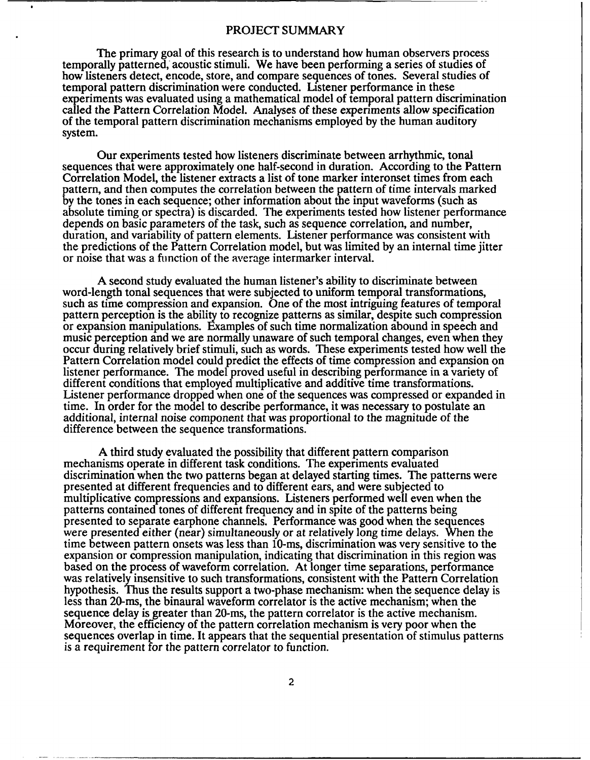#### PROJECT SUMMARY

The primary goal of this research is to understand how human observers process temporally patterned, acoustic stimuli. We have been performing a series of studies of how listeners detect, encode, store, and compare sequences of tones. Several studies of temporal pattern discrimination were conducted. Listener performance in these experiments was evaluated using a mathematical model of temporal pattern discrimination called the Pattern Correlation Model. Analyses of these experiments allow specification of the temporal pattern discrimination mechanisms employed by the human auditory system.

Our experiments tested how listeners discriminate between arrhythmic, tonal sequences that were approximately one half-second in duration. According to the Pattern Correlation Model, the listener extracts a list of tone marker interonset times from each pattern, and then computes the correlation between the pattern of time intervals marked by the tones in each sequence; other information about the input waveforms (such as absolute timing or spectra) is discarded. The experiments tested how listener performance depends on basic parameters of the task, such as sequence correlation, and number, duration, and variability of pattern elements. Listener performance was consistent with the predictions of the Pattern Correlation model, but was limited by an internal time jitter or noise that was a finction of the average intermarker interval.

A second study evaluated the human listener's ability to discriminate between word-length tonal sequences that were subjected to uniform temporal transformations, such as time compression and expansion. One of the most intriguing features of temporal pattern perception is the ability to recognize patterns as similar, despite such compression or expansion manipulations. Examples of such time normalization abound in speech and music perception and we are normally unaware of such temporal changes, even when they occur during relatively brief stimuli, such as words. These experiments tested how well the Pattern Correlation model could predict the effects of time compression and expansion on listener performance. The model proved useful in describing performance in a variety of different conditions that employed multiplicative and additive time transformations. Listener performance dropped when one of the sequences was compressed or expanded in time. In order for the model to describe performance, it was necessary to postulate an additional, internal noise component that was proportional to the magnitude of the difference between the sequence transformations.

A third study evaluated the possibility that different pattern comparison mechanisms operate in different task conditions. The experiments evaluated discrimination when the two patterns began at delayed starting times. The patterns were presented at different frequencies and to different ears, and were subjected to multiplicative compressions and expansions. Listeners performed well even when the patterns contained tones of different frequency and in spite of the patterns being presented to separate earphone channels. Performance was good when the sequences were presented either (near) simultaneously or at relatively long time delays. When the time between pattern onsets was less than 10-ms, discrimination was very sensitive to the expansion or compression manipulation, indicating that discrimination in this region was based on the process of waveform correlation. At longer time separations, performance was relatively insensitive to such transformations, consistent with the Pattern Correlation hypothesis. Thus the results support a two-phase mechanism: when the sequence delay is less than 20-ms, the binaural waveform correlator is the active mechanism; when the sequence delay is greater than 20-ms, the pattern correlator is the active mechanism. Moreover, the efficiency of the pattern correlation mechanism is very poor when the sequences overlap in time. It appears that the sequential presentation of stimulus patterns is a requirement for the pattern correlator to function.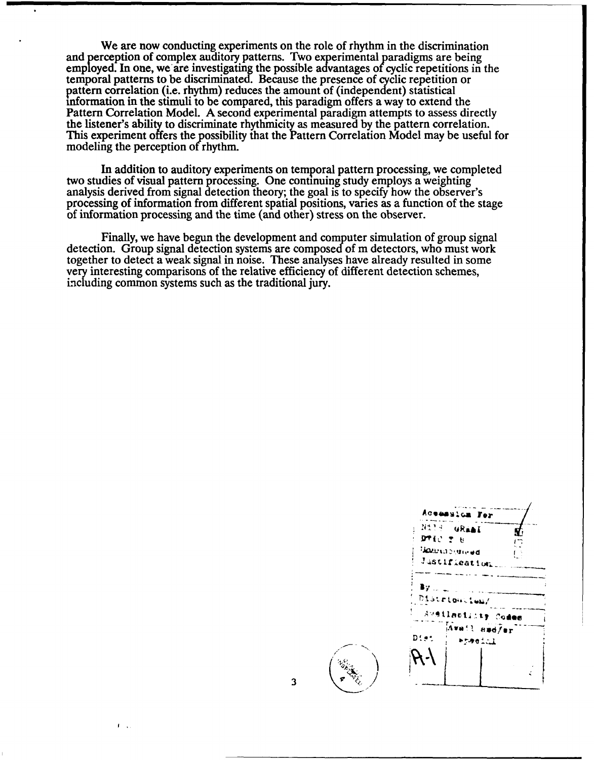We are now conducting experiments on the role of rhythm in the discrimination and perception of complex auditory patterns. Two experimental paradigms are being employed. In one, we are investigating the possible advantages of cyclic repetitions in the temporal patterns to be discriminated. Because the presence of cyclic repetition or pattern correlation (i.e. rhythm) reduces the amount of (independent) statistical information in the stimuli to be compared, this paradigm offers a way to extend the Pattern Correlation Model. A second experimental paradigm attempts to assess directly the listener's ability to discriminate rhythmicity as measured by the pattern correlation. This experiment offers the possibility that the Pattern Correlation Model may be useful for modeling the perception of rhythm.

In addition to auditory experiments on temporal pattern processing, we completed two studies of visual pattern processing. One continuing study employs a weighting analysis derived from signal detection theory; the goal is to specify how the observer's processing of information from different spatial positions, varies as a function of the stage of information processing and the time (and other) stress on the observer.

Finally, we have begun the development and computer simulation of group signal detection. Group signal detection systems are composed of m detectors, who must work together to detect a weak signal in noise. These analyses have already resulted in some very interesting comparisons of the relative efficiency of different detection schemes, including common systems such as the traditional jury.

| Aceasion For           |                    |
|------------------------|--------------------|
| Nils GRAAI             |                    |
| かい そも                  | ŗ,                 |
| <b>Sources</b> Group   |                    |
| Justification          |                    |
| 87 L.<br>Distribution/ | Aveilaciisty Codes |
| Diet                   | Avail amd/er       |
|                        | *resial            |
|                        |                    |
|                        |                    |
|                        |                    |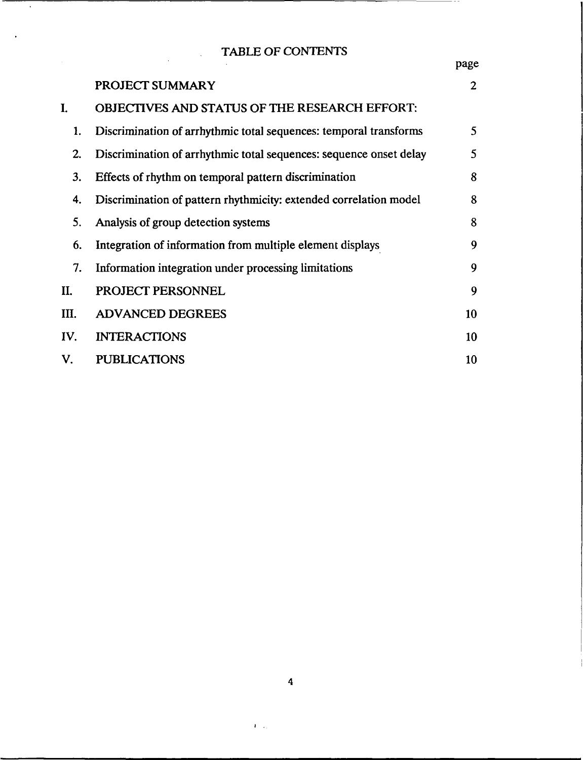# TABLE OF CONTENTS

 $\overline{\phantom{0}}$ 

 $\sim 10$ 

 $\alpha$ 

|                |                                                                    | page           |
|----------------|--------------------------------------------------------------------|----------------|
|                | PROJECT SUMMARY                                                    | $\overline{2}$ |
| $\mathbf{I}$ . | <b>OBJECTIVES AND STATUS OF THE RESEARCH EFFORT:</b>               |                |
| 1.             | Discrimination of arrhythmic total sequences: temporal transforms  | 5              |
| 2.             | Discrimination of arrhythmic total sequences: sequence onset delay | 5              |
| 3.             | Effects of rhythm on temporal pattern discrimination               | 8              |
| 4.             | Discrimination of pattern rhythmicity: extended correlation model  | 8              |
| 5.             | Analysis of group detection systems                                | 8              |
| 6.             | Integration of information from multiple element displays          | 9              |
| 7.             | Information integration under processing limitations               | 9              |
| II.            | PROJECT PERSONNEL                                                  | 9              |
| Ш.             | <b>ADVANCED DEGREES</b>                                            | 10             |
| IV.            | <b>INTERACTIONS</b>                                                | 10             |
| V.             | <b>PUBLICATIONS</b>                                                | 10             |

 $\Gamma_{\rm{max}}$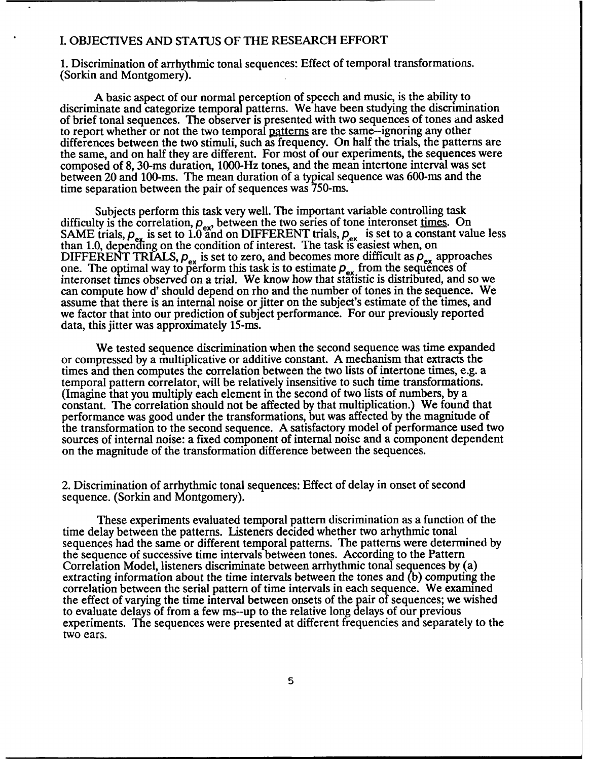#### I. OBJECTIVES AND STATUS OF THE RESEARCH EFFORT

1. Discrimination of arrhythmic tonal sequences: Effect of temporal transformations. (Sorkin and Montgomery).

A basic aspect of our normal perception of speech and music, is the ability to discriminate and categorize temporal patterns. We have been studying the discrimination of brief tonal sequences. The observer is presented with two sequences of tones and asked to report whether or not the two temporal patterns are the same--ignoring any other differences between the two stimuli, such as frequency. On half the trials, the patterns are the same, and on half they are different. For most of our experiments, the sequences were composed of 8, 30-ms duration, 1000-Hz tones, and the mean intertone interval was set between 20 and 100-ms. The mean duration of a typical sequence was 600-ms and the time separation between the pair of sequences was 750-ms.

Subjects perform this task very well. The important variable controlling task difficulty is the correlation,  $p_{ex}$ , between the two series of tone interonset times. On SAME trials,  $\rho_{ex}$  is set to 1.0 and on DIFFERENT trials,  $\rho_{ex}$  is set to a constant value less than 1.0, depending on the condition of interest. The task is easiest when, on DIFFERENT TRIALS,  $\rho_{\text{av}}$  is set to zero, and becomes more difficult as  $\rho_{\text{av}}$  approaches one. The optimal way to perform this task is to estimate  $p_{ex}$  from the sequences of interonset times observed on a trial. We know how that statistic is distributed, and so we can compute how d' should depend on rho and the number of tones in the sequence. We assume that there is an internal noise or jitter on the subject's estimate of the times, and we factor that into our prediction of subject performance. For our previously reported data, this jitter was approximately 15-ms.

We tested sequence discrimination when the second sequence was time expanded or compressed by a multiplicative or additive constant. A mechanism that extracts the times and then computes the correlation between the two lists of intertone times, e.g. a temporal pattern correlator, will be relatively insensitive to such time transformations. (Imagine that you multiply each element in the second of two lists of numbers, by a constant. The correlation should not be affected by that multiplication.) We found that performance was good under the transformations, but was affected by the magnitude of the transformation to the second sequence. A satisfactory model of performance used two sources of internal noise: a fixed component of internal noise and a component dependent on the magnitude of the transformation difference between the sequences.

2. Discrimination of arrhythmic tonal sequences: Effect of delay in onset of second sequence. (Sorkin and Montgomery).

These experiments evaluated temporal pattern discrimination as a function of the time delay between the patterns. Listeners decided whether two arhythmic tonal sequences had the same or different temporal patterns. The patterns were determined by the sequence of successive time intervals between tones. According to the Pattern Correlation Model, listeners discriminate between arrhythmic tonal sequences by (a) extracting information about the time intervals between the tones and (b) computing the correlation between the serial pattern of time intervals in each sequence. We examined the effect of varying the time interval between onsets of the pair of sequences; we wished to evaluate delays of from a few ms--up to the relative long delays of our previous experiments. The sequences were presented at different frequencies and separately to the two ears.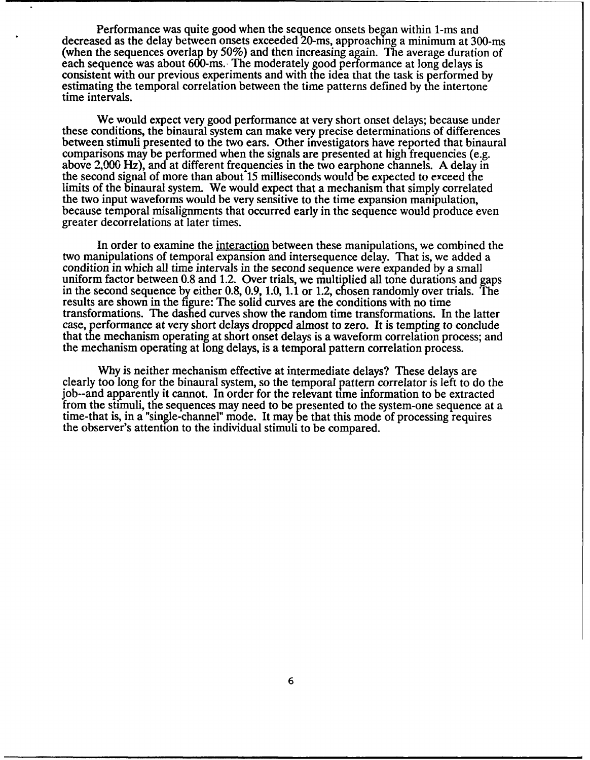Performance was quite good when the sequence onsets began within 1-ms and decreased as the delay between onsets exceeded 20-ms, approaching a minimum at 300-ms (when the sequences overlap by 50%) and then increasing again. The average duration of each sequence was about 600-ms. The moderately good performance at long delays is consistent with our previous experiments and with the idea that the task is performed by estimating the temporal correlation between the time patterns defined by the intertone time intervals.

We would expect very good performance at very short onset delays; because under these conditions, the binaural system can make very precise determinations of differences between stimuli presented to the two ears. Other investigators have reported that binaural comparisons may be performed when the signals are presented at high frequencies (e.g. above 2,000 Hz), and at different frequencies in the two earphone channels. A delay in the second signal of more than about 15 milliseconds would be expected to exceed the limits of the binaural system. We would expect that a mechanism that simply correlated the two input waveforms would be very sensitive to the time expansion manipulation, because temporal misalignments that occurred early in the sequence would produce even greater decorrelations at later times.

In order to examine the interaction between these manipulations, we combined the two manipulations of temporal expansion and intersequence delay. That is, we added a condition in which all time intervals in the second sequence were expanded by a small uniform factor between 0.8 and 1.2. Over trials, we multiplied all tone durations and gaps in the second sequence by either 0.8, 0.9, 1.0, **1.1** or 1.2, chosen randomly over trials. The results are shown in the figure: The solid curves are the conditions with no time transformations. The dashed curves show the random time transformations. In the latter case, performance at very short delays dropped almost to zero. It is tempting to conclude that the mechanism operating at short onset delays is a waveform correlation process; and the mechanism operating at long delays, is a temporal pattern correlation process.

Why is neither mechanism effective at intermediate delays? These delays are clearly too long for the binaural system, so the temporal pattern correlator is left to do the job--and apparently it cannot. In order for the relevant time information to be extracted from the stimuli, the sequences may need to be presented to the system-one sequence at a time-that is, in a "single-channel" mode. It may be that this mode of processing requires the observer's attention to the individual stimuli to be compared.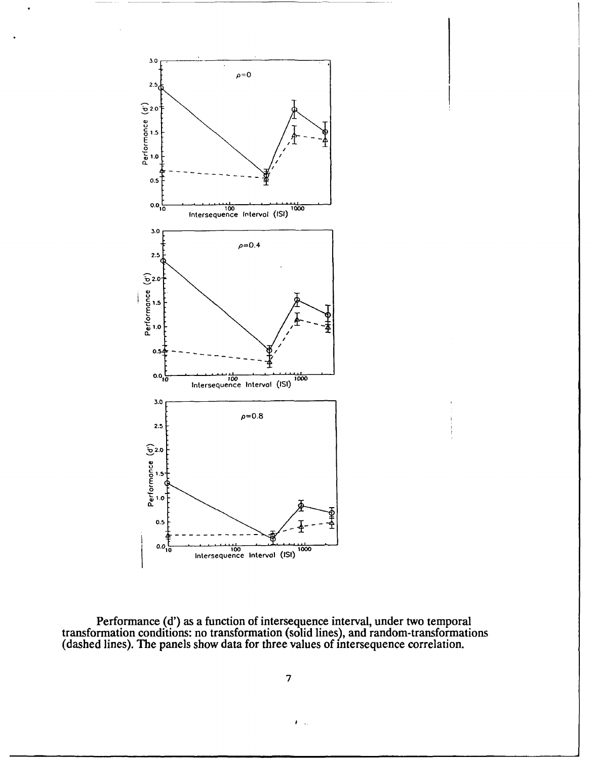

Performance **(d')** as a function of intersequence interval, under two temporal transformation conditions: no transformation (solid lines), and random-transformations (dashed lines). The panels show data for three values of intersequence correlation.

**7**

 $\mathcal{F}(\mathcal{A})$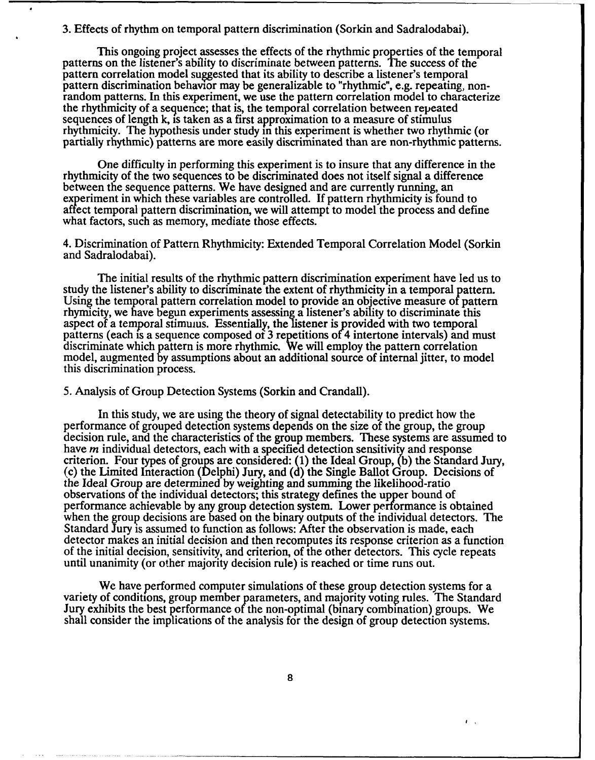#### 3. Effects of rhythm on temporal pattern discrimination (Sorkin and Sadralodabai).

This ongoing project assesses the effects of the rhythmic properties of the temporal patterns on the listener's ability to discriminate between patterns. The success of the pattern correlation model suggested that its ability to describe a listener's temporal pattern discrimination behavior may be generalizable to "rhythmic", e.g. repeating, nonrandom patterns. In this experiment, we use the pattern correlation model to characterize the rhythmicity of a sequence; that is, the temporal correlation between repeated sequences of length k, is taken as a first approximation to a measure of stimulus rhythmicity. The hypothesis under study in this experiment is whether two rhythmic (or partially rhythmic) patterns are more easily discriminated than are non-rhythmic patterns.

One difficulty in performing this experiment is to insure that any difference in the rhythmicity of the two sequences to be discriminated does not itself signal a difference between the sequence patterns. We have designed and are currently running, an experiment in which these variables are controlled. If pattern rhythmicity is found to affect temporal pattern discrimination, we will attempt to model the process and define what factors, such as memory, mediate those effects.

4. Discrimination of Pattern Rhythmicity: Extended Temporal Correlation Model (Sorkin and Sadralodabai).

The initial results of the rhythmic pattern discrimination experiment have led us to study the listener's ability to discriminate the extent of rhythmicity in a temporal pattern.<br>Using the temporal pattern correlation model to provide an objective measure of pattern<br>rhymicity, we have begun experiments ass aspect of a temporal stimulus. Essentially, the listener is provided with two temporal patterns (each is a sequence composed of 3 repetitions of 4 intertone intervals) and must discriminate which pattern is more rhythmic. We will employ the pattern correlation model, augmented by assumptions about an additional source of internal jitter, to model this discrimination process.

5. Analysis of Group Detection Systems (Sorkin and Crandall).

In this study, we are using the theory of signal detectability to predict how the performance of grouped detection systems depends on the size of the group, the group decision rule, and the characteristics of the group members. These systems are assumed to have  $m$  individual detectors, each with a specified detection sensitivity and response criterion. Four types of groups are considered: (1) the Ideal Group, (b) the Standard Jury, (c) the Limited Interaction (Delphi) Jury, and (d) the Single Ballot Group. Decisions of the Ideal Group are determined by weighting and summing the likelihood-ratio observations **of** the individual detectors; this strategy defines the upper bound of performance achievable by any group detection system. Lower performance is obtained when the group decisions are based on the binary outputs of the individual detectors. The Standard Jury is assumed to function as follows: After the observation is made, each detector makes an initial decision and then recomputes its response criterion as a function of the initial decision, sensitivity, and criterion, of the other detectors. This cycle repeats until unanimity (or other majority decision rule) is reached or time runs out.

We have performed computer simulations of these group detection systems for a variety of conditions, group member parameters, and majority voting rules. The Standard Jury exhibits the best performance of the non-optimal (binary combination) groups. We shall consider the implications of the analysis for the design of group detection systems.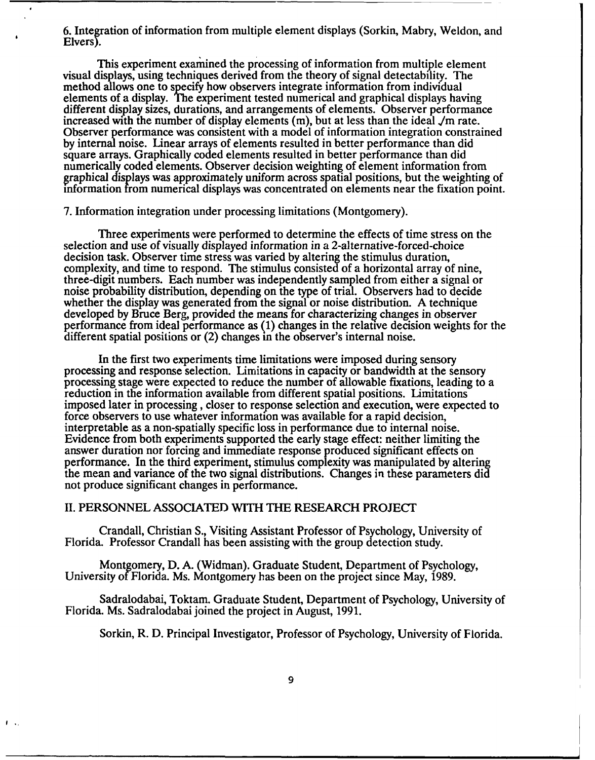6. Integration of information from multiple element displays (Sorkin, Mabry, Weldon, and Elvers).

This experiment examined the processing of information from multiple element visual displays, using techniques derived from the theory of signal detectability. The method allows one to specify how observers integrate information from individual elements of a display. The experiment tested numerical and graphical displays having different display sizes, durations, and arrangements of elements. Observer performance increased with the number of display elements  $(m)$ Observer performance was consistent with a model of information integration constrained by internal noise. Linear arrays of elements resulted in better performance than did square arrays. Graphically coded elements resulted in better performance than did numerically coded elements. Observer decision weighting of element information from graphical displays was approximately uniform across spatial positions, but the weighting of information from numerical displays was concentrated on elements near the fixation point.

7. Information integration under processing limitations (Montgomery).

Three experiments were performed to determine the effects of time stress on the selection and use of visually displayed information in a 2-alternative-forced-choice decision task. Observer time stress was varied by altering the stimulus duration, complexity, and time to respond. The stimulus consisted of a horizontal array of nine, three-digit numbers. Each number was independently sampled from either a signal or noise probability distribution, depending on the type of trial. Observers had to decide whether the display was generated from the signal or noise distribution. A technique developed by Bruce Berg, provided the means for characterizing changes in observer performance from ideal performance as (1) changes in the relative decision weights for the different spatial positions or (2) changes in the observer's internal noise.

In the first two experiments time limitations were imposed during sensory processing and response selection. Limitations in capacity or bandwidth at the sensory processing stage were expected to reduce the number of allowable fixations, leading to a reduction in the information available from different spatial positions. Limitations imposed later in processing, closer to response selection and execution, were expected to force observers to use whatever information was available for a rapid decision, interpretable as a non-spatially specific loss in performance due to internal noise. Evidence from both experiments supported the early stage effect: neither limiting the answer duration nor forcing and immediate response produced significant effects on performance. In the third experiment, stimulus complexity was manipulated by altering the mean and variance of the two signal distributions. Changes in these parameters did not produce significant changes in performance.

#### II. PERSONNEL ASSOCIATED WITH THE RESEARCH PROJECT

 $\mathbf{f}$   $\mathbf{v}$ .

Crandall, Christian S., Visiting Assistant Professor of Psychology, University of Florida. Professor Crandall has been assisting with the group detection study.

Montgomery, D. A. (Widman). Graduate Student, Department of Psychology, University of Florida. Ms. Montgomery has been on the project since May, 1989.

Sadralodabai, Toktam. Graduate Student, Department of Psychology, University of Florida. Ms. Sadralodabai joined the project in August, 1991.

Sorkin, R. D. Principal Investigator, Professor of Psychology, University of Florida.